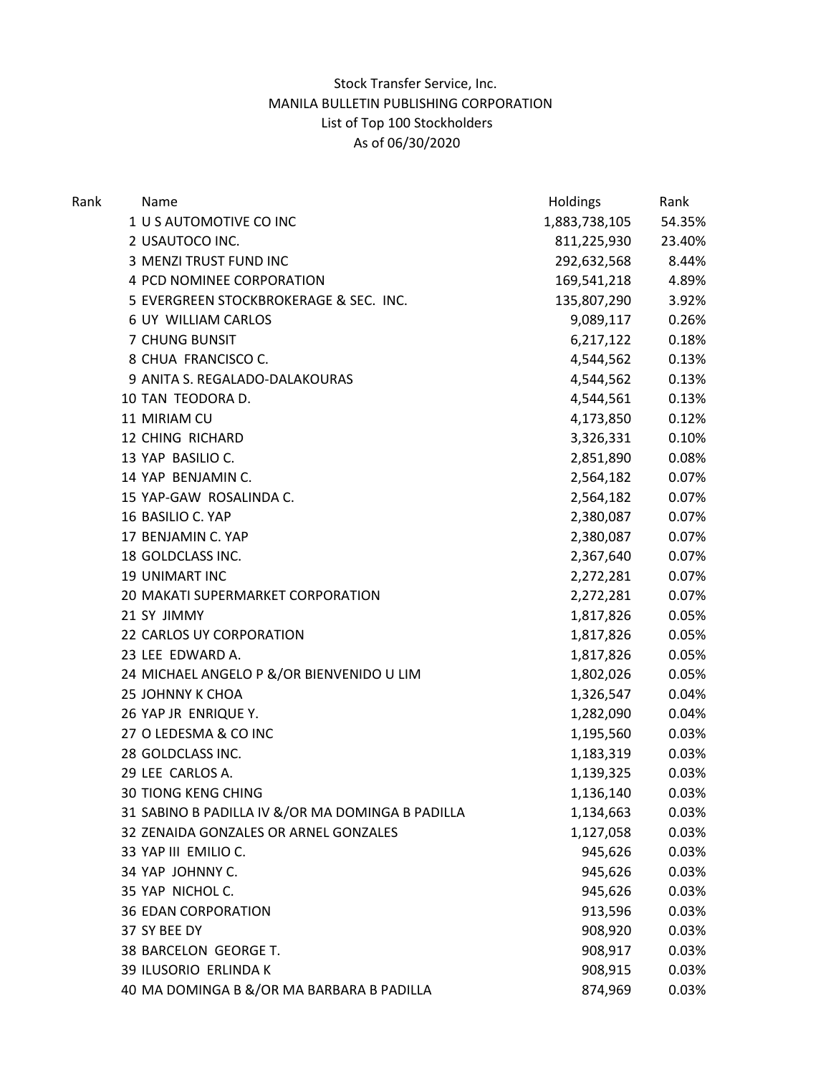## Stock Transfer Service, Inc. MANILA BULLETIN PUBLISHING CORPORATION List of Top 100 Stockholders As of 06/30/2020

| Rank | Name         |                                                  | Holdings      | Rank   |
|------|--------------|--------------------------------------------------|---------------|--------|
|      |              | 1 U S AUTOMOTIVE CO INC                          | 1,883,738,105 | 54.35% |
|      |              | 2 USAUTOCO INC.                                  | 811,225,930   | 23.40% |
|      |              | 3 MENZI TRUST FUND INC                           | 292,632,568   | 8.44%  |
|      |              | 4 PCD NOMINEE CORPORATION                        | 169,541,218   | 4.89%  |
|      |              | 5 EVERGREEN STOCKBROKERAGE & SEC. INC.           | 135,807,290   | 3.92%  |
|      |              | 6 UY WILLIAM CARLOS                              | 9,089,117     | 0.26%  |
|      |              | 7 CHUNG BUNSIT                                   | 6,217,122     | 0.18%  |
|      |              | 8 CHUA FRANCISCO C.                              | 4,544,562     | 0.13%  |
|      |              | 9 ANITA S. REGALADO-DALAKOURAS                   | 4,544,562     | 0.13%  |
|      |              | 10 TAN TEODORA D.                                | 4,544,561     | 0.13%  |
|      | 11 MIRIAM CU |                                                  | 4,173,850     | 0.12%  |
|      |              | 12 CHING RICHARD                                 | 3,326,331     | 0.10%  |
|      |              | 13 YAP BASILIO C.                                | 2,851,890     | 0.08%  |
|      |              | 14 YAP BENJAMIN C.                               | 2,564,182     | 0.07%  |
|      |              | 15 YAP-GAW ROSALINDA C.                          | 2,564,182     | 0.07%  |
|      |              | 16 BASILIO C. YAP                                | 2,380,087     | 0.07%  |
|      |              | 17 BENJAMIN C. YAP                               | 2,380,087     | 0.07%  |
|      |              | 18 GOLDCLASS INC.                                | 2,367,640     | 0.07%  |
|      |              | 19 UNIMART INC                                   | 2,272,281     | 0.07%  |
|      |              | 20 MAKATI SUPERMARKET CORPORATION                | 2,272,281     | 0.07%  |
|      | 21 SY JIMMY  |                                                  | 1,817,826     | 0.05%  |
|      |              | 22 CARLOS UY CORPORATION                         | 1,817,826     | 0.05%  |
|      |              | 23 LEE EDWARD A.                                 | 1,817,826     | 0.05%  |
|      |              | 24 MICHAEL ANGELO P &/OR BIENVENIDO U LIM        | 1,802,026     | 0.05%  |
|      |              | 25 JOHNNY K CHOA                                 | 1,326,547     | 0.04%  |
|      |              | 26 YAP JR ENRIQUE Y.                             | 1,282,090     | 0.04%  |
|      |              | 27 O LEDESMA & CO INC                            | 1,195,560     | 0.03%  |
|      |              | 28 GOLDCLASS INC.                                | 1,183,319     | 0.03%  |
|      |              | 29 LEE CARLOS A.                                 | 1,139,325     | 0.03%  |
|      |              | <b>30 TIONG KENG CHING</b>                       | 1,136,140     | 0.03%  |
|      |              | 31 SABINO B PADILLA IV &/OR MA DOMINGA B PADILLA | 1,134,663     | 0.03%  |
|      |              | 32 ZENAIDA GONZALES OR ARNEL GONZALES            | 1,127,058     | 0.03%  |
|      |              | 33 YAP III EMILIO C.                             | 945,626       | 0.03%  |
|      |              | 34 YAP JOHNNY C.                                 | 945,626       | 0.03%  |
|      |              | 35 YAP NICHOL C.                                 | 945,626       | 0.03%  |
|      |              | <b>36 EDAN CORPORATION</b>                       | 913,596       | 0.03%  |
|      | 37 SY BEE DY |                                                  | 908,920       | 0.03%  |
|      |              | 38 BARCELON GEORGE T.                            | 908,917       | 0.03%  |
|      |              | 39 ILUSORIO ERLINDA K                            | 908,915       | 0.03%  |
|      |              | 40 MA DOMINGA B &/OR MA BARBARA B PADILLA        | 874,969       | 0.03%  |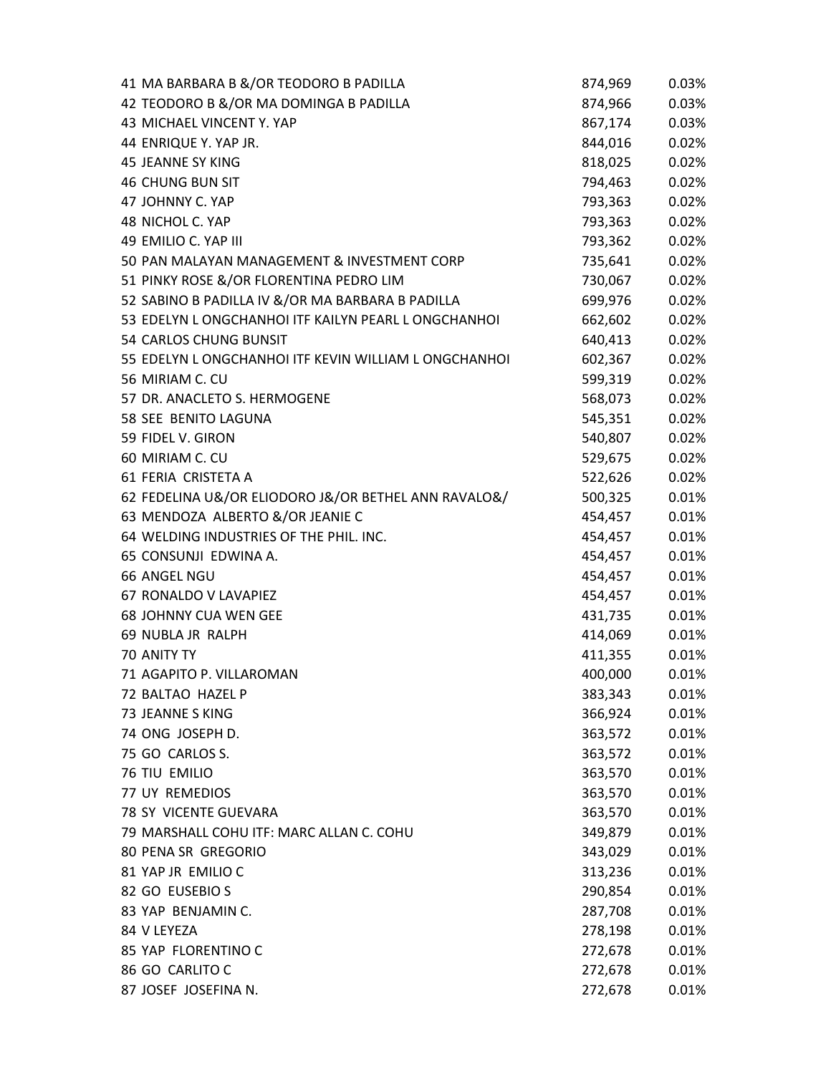| 41 MA BARBARA B &/OR TEODORO B PADILLA                | 874,969 | 0.03% |
|-------------------------------------------------------|---------|-------|
| 42 TEODORO B &/OR MA DOMINGA B PADILLA                | 874,966 | 0.03% |
| 43 MICHAEL VINCENT Y. YAP                             | 867,174 | 0.03% |
| 44 ENRIQUE Y. YAP JR.                                 | 844,016 | 0.02% |
| <b>45 JEANNE SY KING</b>                              | 818,025 | 0.02% |
| <b>46 CHUNG BUN SIT</b>                               | 794,463 | 0.02% |
| 47 JOHNNY C. YAP                                      | 793,363 | 0.02% |
| 48 NICHOL C. YAP                                      | 793,363 | 0.02% |
| 49 EMILIO C. YAP III                                  | 793,362 | 0.02% |
| 50 PAN MALAYAN MANAGEMENT & INVESTMENT CORP           | 735,641 | 0.02% |
| 51 PINKY ROSE &/OR FLORENTINA PEDRO LIM               | 730,067 | 0.02% |
| 52 SABINO B PADILLA IV &/OR MA BARBARA B PADILLA      | 699,976 | 0.02% |
| 53 EDELYN L ONGCHANHOI ITF KAILYN PEARL L ONGCHANHOI  | 662,602 | 0.02% |
| 54 CARLOS CHUNG BUNSIT                                | 640,413 | 0.02% |
| 55 EDELYN L ONGCHANHOI ITF KEVIN WILLIAM L ONGCHANHOI | 602,367 | 0.02% |
| 56 MIRIAM C. CU                                       | 599,319 | 0.02% |
| 57 DR. ANACLETO S. HERMOGENE                          | 568,073 | 0.02% |
| 58 SEE BENITO LAGUNA                                  | 545,351 | 0.02% |
| 59 FIDEL V. GIRON                                     | 540,807 | 0.02% |
| 60 MIRIAM C. CU                                       | 529,675 | 0.02% |
| 61 FERIA CRISTETA A                                   | 522,626 | 0.02% |
| 62 FEDELINA U&/OR ELIODORO J&/OR BETHEL ANN RAVALO&/  | 500,325 | 0.01% |
| 63 MENDOZA ALBERTO &/OR JEANIE C                      | 454,457 | 0.01% |
| 64 WELDING INDUSTRIES OF THE PHIL. INC.               | 454,457 | 0.01% |
| 65 CONSUNJI EDWINA A.                                 | 454,457 | 0.01% |
| 66 ANGEL NGU                                          | 454,457 | 0.01% |
| 67 RONALDO V LAVAPIEZ                                 | 454,457 | 0.01% |
| <b>68 JOHNNY CUA WEN GEE</b>                          | 431,735 | 0.01% |
| 69 NUBLA JR RALPH                                     | 414,069 | 0.01% |
| 70 ANITY TY                                           | 411,355 | 0.01% |
| 71 AGAPITO P. VILLAROMAN                              | 400,000 | 0.01% |
| 72 BALTAO HAZEL P                                     | 383,343 | 0.01% |
| 73 JEANNE S KING                                      | 366,924 | 0.01% |
| 74 ONG JOSEPH D.                                      | 363,572 | 0.01% |
| 75 GO CARLOS S.                                       | 363,572 | 0.01% |
| 76 TIU EMILIO                                         | 363,570 | 0.01% |
| 77 UY REMEDIOS                                        | 363,570 | 0.01% |
| 78 SY VICENTE GUEVARA                                 | 363,570 | 0.01% |
| 79 MARSHALL COHU ITF: MARC ALLAN C. COHU              | 349,879 | 0.01% |
| 80 PENA SR GREGORIO                                   | 343,029 | 0.01% |
| 81 YAP JR EMILIO C                                    | 313,236 | 0.01% |
| 82 GO EUSEBIO S                                       | 290,854 | 0.01% |
| 83 YAP BENJAMIN C.                                    | 287,708 | 0.01% |
| 84 V LEYEZA                                           | 278,198 | 0.01% |
| 85 YAP FLORENTINO C                                   | 272,678 | 0.01% |
| 86 GO CARLITO C                                       | 272,678 | 0.01% |
| 87 JOSEF JOSEFINA N.                                  | 272,678 | 0.01% |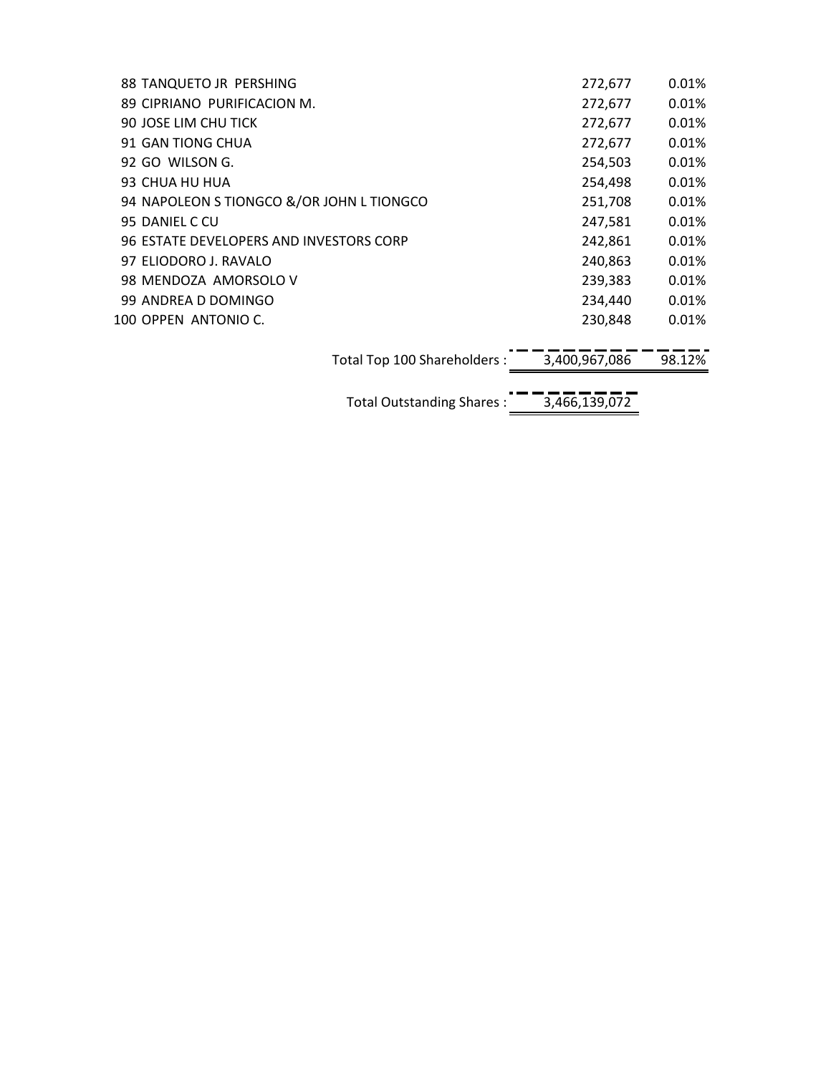| 88 TANQUETO JR PERSHING                   |                              | 272,677       | $0.01\%$ |
|-------------------------------------------|------------------------------|---------------|----------|
| 89 CIPRIANO PURIFICACION M.               |                              | 272,677       | $0.01\%$ |
| 90 JOSE LIM CHU TICK                      |                              | 272,677       | $0.01\%$ |
| 91 GAN TIONG CHUA                         |                              | 272,677       | $0.01\%$ |
| 92 GO WILSON G.                           |                              | 254,503       | $0.01\%$ |
| 93 CHUA HU HUA                            |                              | 254,498       | 0.01%    |
| 94 NAPOLEON S TIONGCO &/OR JOHN L TIONGCO |                              | 251,708       | 0.01%    |
| 95 DANIEL C CU                            |                              | 247,581       | $0.01\%$ |
| 96 ESTATE DEVELOPERS AND INVESTORS CORP   |                              | 242,861       | $0.01\%$ |
| 97 ELIODORO J. RAVALO                     |                              | 240,863       | $0.01\%$ |
| 98 MENDOZA AMORSOLO V                     |                              | 239,383       | $0.01\%$ |
| 99 ANDREA D DOMINGO                       |                              | 234,440       | $0.01\%$ |
| 100 OPPEN ANTONIO C.                      |                              | 230,848       | $0.01\%$ |
|                                           |                              |               |          |
|                                           | Total Top 100 Shareholders : | 3,400,967,086 | 98.12%   |
|                                           |                              |               |          |
|                                           | Total Outstanding Shares:    | 3,466,139,072 |          |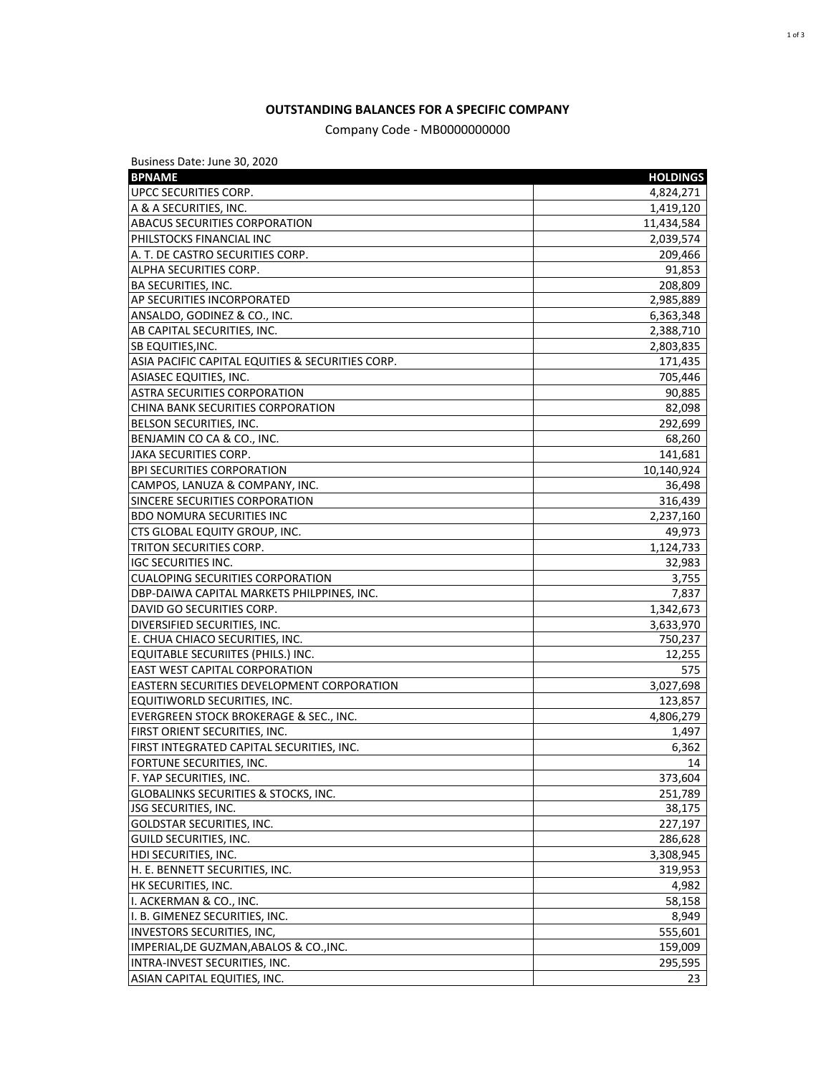## **OUTSTANDING BALANCES FOR A SPECIFIC COMPANY**

## Company Code - MB0000000000

Business Date: June 30, 2020

| <b>BPNAME</b>                                     | <b>HOLDINGS</b> |
|---------------------------------------------------|-----------------|
| UPCC SECURITIES CORP.                             | 4,824,271       |
| A & A SECURITIES, INC.                            | 1,419,120       |
| <b>ABACUS SECURITIES CORPORATION</b>              | 11,434,584      |
| PHILSTOCKS FINANCIAL INC                          | 2,039,574       |
| A. T. DE CASTRO SECURITIES CORP.                  | 209,466         |
| ALPHA SECURITIES CORP.                            | 91,853          |
| <b>BA SECURITIES, INC.</b>                        | 208,809         |
| AP SECURITIES INCORPORATED                        | 2,985,889       |
| ANSALDO, GODINEZ & CO., INC.                      | 6,363,348       |
| AB CAPITAL SECURITIES, INC.                       | 2,388,710       |
| SB EQUITIES, INC.                                 | 2,803,835       |
| ASIA PACIFIC CAPITAL EQUITIES & SECURITIES CORP.  | 171,435         |
| <b>ASIASEC EQUITIES, INC.</b>                     | 705,446         |
| ASTRA SECURITIES CORPORATION                      | 90,885          |
| CHINA BANK SECURITIES CORPORATION                 | 82,098          |
| BELSON SECURITIES, INC.                           | 292,699         |
| BENJAMIN CO CA & CO., INC.                        | 68,260          |
| JAKA SECURITIES CORP.                             | 141,681         |
| <b>BPI SECURITIES CORPORATION</b>                 | 10,140,924      |
| CAMPOS, LANUZA & COMPANY, INC.                    | 36,498          |
| SINCERE SECURITIES CORPORATION                    | 316,439         |
| <b>BDO NOMURA SECURITIES INC</b>                  | 2,237,160       |
| CTS GLOBAL EQUITY GROUP, INC.                     | 49,973          |
| TRITON SECURITIES CORP.                           | 1,124,733       |
| <b>IGC SECURITIES INC.</b>                        | 32,983          |
| <b>CUALOPING SECURITIES CORPORATION</b>           | 3,755           |
| DBP-DAIWA CAPITAL MARKETS PHILPPINES, INC.        | 7,837           |
| DAVID GO SECURITIES CORP.                         | 1,342,673       |
| DIVERSIFIED SECURITIES, INC.                      | 3,633,970       |
| E. CHUA CHIACO SECURITIES, INC.                   | 750,237         |
| EQUITABLE SECURIITES (PHILS.) INC.                | 12,255          |
| EAST WEST CAPITAL CORPORATION                     | 575             |
| <b>EASTERN SECURITIES DEVELOPMENT CORPORATION</b> | 3,027,698       |
| EQUITIWORLD SECURITIES, INC.                      | 123,857         |
| EVERGREEN STOCK BROKERAGE & SEC., INC.            | 4,806,279       |
| FIRST ORIENT SECURITIES, INC.                     | 1,497           |
| FIRST INTEGRATED CAPITAL SECURITIES, INC.         | 6,362           |
| FORTUNE SECURITIES, INC.                          | 14              |
| F. YAP SECURITIES, INC.                           | 373,604         |
| <b>GLOBALINKS SECURITIES &amp; STOCKS, INC.</b>   | 251,789         |
| <b>JSG SECURITIES, INC.</b>                       | 38,175          |
| GOLDSTAR SECURITIES, INC.                         | 227,197         |
| GUILD SECURITIES, INC.                            | 286,628         |
| HDI SECURITIES, INC.                              | 3,308,945       |
| H. E. BENNETT SECURITIES, INC.                    | 319,953         |
| HK SECURITIES, INC.                               | 4,982           |
| I. ACKERMAN & CO., INC.                           | 58,158          |
| I. B. GIMENEZ SECURITIES, INC.                    | 8,949           |
| <b>INVESTORS SECURITIES, INC,</b>                 | 555,601         |
| IMPERIAL, DE GUZMAN, ABALOS & CO., INC.           | 159,009         |
| INTRA-INVEST SECURITIES, INC.                     | 295,595         |
| ASIAN CAPITAL EQUITIES, INC.                      | 23              |
|                                                   |                 |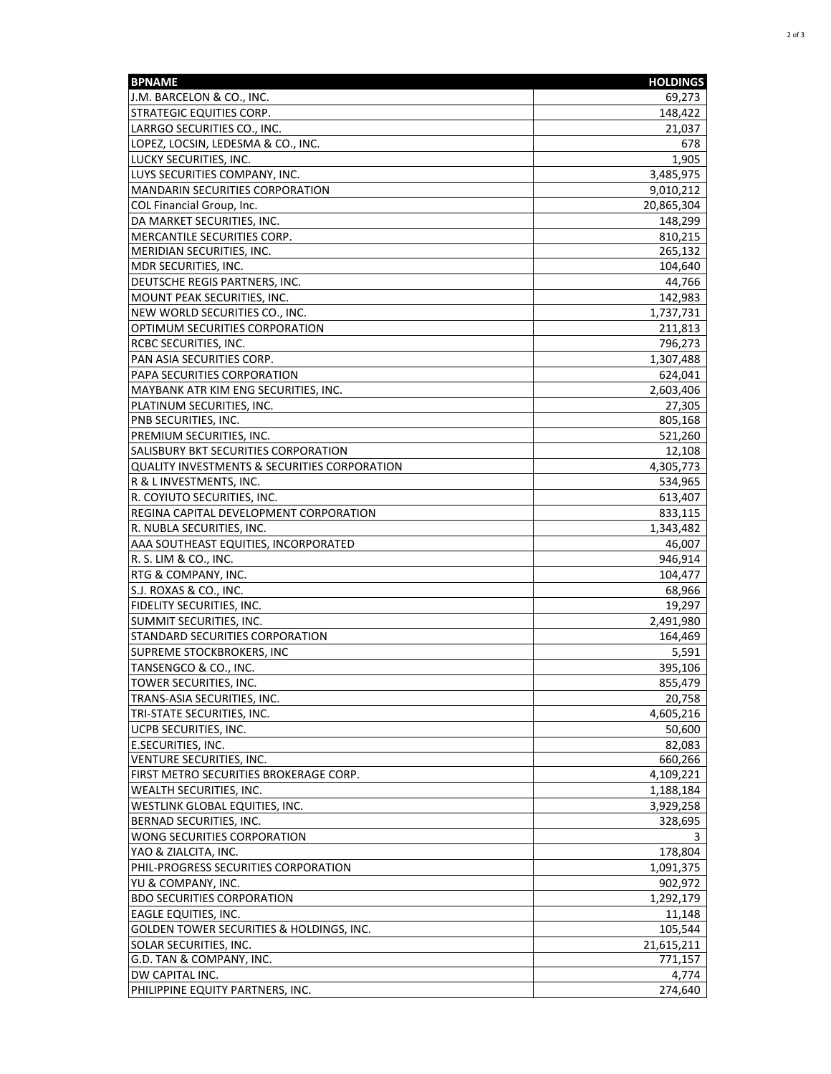| <b>BPNAME</b>                                           | <b>HOLDINGS</b> |
|---------------------------------------------------------|-----------------|
| J.M. BARCELON & CO., INC.                               | 69,273          |
| <b>STRATEGIC EQUITIES CORP.</b>                         | 148,422         |
| LARRGO SECURITIES CO., INC.                             | 21,037          |
| LOPEZ, LOCSIN, LEDESMA & CO., INC.                      | 678             |
| LUCKY SECURITIES, INC.                                  | 1,905           |
| LUYS SECURITIES COMPANY, INC.                           | 3,485,975       |
| <b>MANDARIN SECURITIES CORPORATION</b>                  | 9,010,212       |
| COL Financial Group, Inc.                               | 20,865,304      |
| DA MARKET SECURITIES, INC.                              | 148,299         |
| MERCANTILE SECURITIES CORP.                             | 810,215         |
| MERIDIAN SECURITIES, INC.                               | 265,132         |
| MDR SECURITIES, INC.                                    | 104,640         |
| DEUTSCHE REGIS PARTNERS, INC.                           | 44,766          |
| MOUNT PEAK SECURITIES, INC.                             | 142,983         |
| NEW WORLD SECURITIES CO., INC.                          | 1,737,731       |
| OPTIMUM SECURITIES CORPORATION                          | 211,813         |
| RCBC SECURITIES, INC.                                   | 796,273         |
| PAN ASIA SECURITIES CORP.                               | 1,307,488       |
| PAPA SECURITIES CORPORATION                             | 624,041         |
| MAYBANK ATR KIM ENG SECURITIES, INC.                    | 2,603,406       |
| PLATINUM SECURITIES, INC.                               | 27,305          |
| PNB SECURITIES, INC.                                    | 805,168         |
| PREMIUM SECURITIES, INC.                                | 521,260         |
| SALISBURY BKT SECURITIES CORPORATION                    | 12,108          |
|                                                         | 4,305,773       |
| <b>QUALITY INVESTMENTS &amp; SECURITIES CORPORATION</b> |                 |
| R & L INVESTMENTS, INC.                                 | 534,965         |
| R. COYIUTO SECURITIES, INC.                             | 613,407         |
| REGINA CAPITAL DEVELOPMENT CORPORATION                  | 833,115         |
| R. NUBLA SECURITIES, INC.                               | 1,343,482       |
| AAA SOUTHEAST EQUITIES, INCORPORATED                    | 46,007          |
| R. S. LIM & CO., INC.                                   | 946,914         |
| RTG & COMPANY, INC.                                     | 104,477         |
| S.J. ROXAS & CO., INC.                                  | 68,966          |
| <b>FIDELITY SECURITIES, INC.</b>                        | 19,297          |
| SUMMIT SECURITIES, INC.                                 | 2,491,980       |
| STANDARD SECURITIES CORPORATION                         | 164,469         |
| SUPREME STOCKBROKERS, INC                               | 5,591           |
| TANSENGCO & CO., INC.                                   | 395,106         |
| TOWER SECURITIES, INC.                                  | 855,479         |
| TRANS-ASIA SECURITIES, INC.                             | 20,758          |
| TRI-STATE SECURITIES, INC.                              | 4,605,216       |
| UCPB SECURITIES, INC.                                   | 50,600          |
| E.SECURITIES, INC.                                      | 82,083          |
| VENTURE SECURITIES, INC.                                | 660,266         |
| FIRST METRO SECURITIES BROKERAGE CORP.                  | 4,109,221       |
| <b>WEALTH SECURITIES, INC.</b>                          | 1,188,184       |
| WESTLINK GLOBAL EQUITIES, INC.                          | 3,929,258       |
| BERNAD SECURITIES, INC.                                 | 328,695         |
| WONG SECURITIES CORPORATION                             |                 |
| YAO & ZIALCITA, INC.                                    | 178,804         |
| PHIL-PROGRESS SECURITIES CORPORATION                    | 1,091,375       |
| YU & COMPANY, INC.                                      | 902,972         |
| <b>BDO SECURITIES CORPORATION</b>                       | 1,292,179       |
| <b>EAGLE EQUITIES, INC.</b>                             | 11,148          |
| <b>GOLDEN TOWER SECURITIES &amp; HOLDINGS, INC.</b>     | 105,544         |
| SOLAR SECURITIES, INC.                                  | 21,615,211      |
| G.D. TAN & COMPANY, INC.                                | 771,157         |
| DW CAPITAL INC.                                         | 4,774           |
| PHILIPPINE EQUITY PARTNERS, INC.                        | 274,640         |